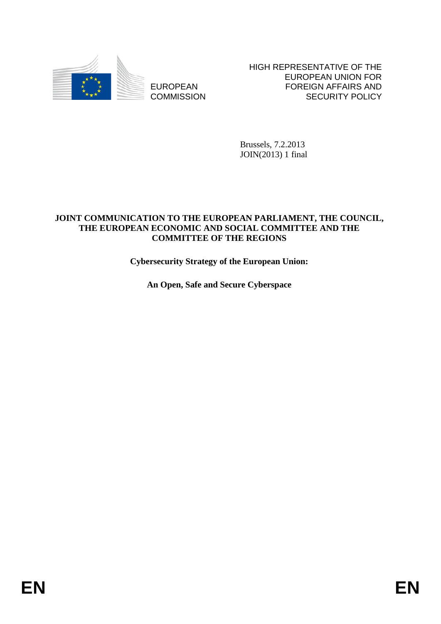

EUROPEAN **COMMISSION**  HIGH REPRESENTATIVE OF THE EUROPEAN UNION FOR FOREIGN AFFAIRS AND SECURITY POLICY

Brussels, 7.2.2013 JOIN(2013) 1 final

#### **JOINT COMMUNICATION TO THE EUROPEAN PARLIAMENT, THE COUNCIL, THE EUROPEAN ECONOMIC AND SOCIAL COMMITTEE AND THE COMMITTEE OF THE REGIONS**

**Cybersecurity Strategy of the European Union:** 

**An Open, Safe and Secure Cyberspace**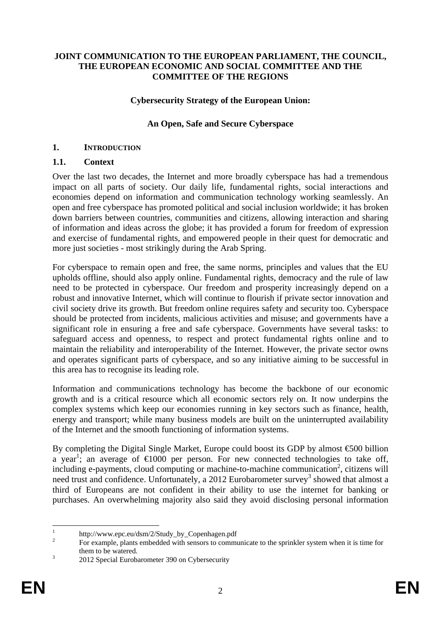#### **JOINT COMMUNICATION TO THE EUROPEAN PARLIAMENT, THE COUNCIL, THE EUROPEAN ECONOMIC AND SOCIAL COMMITTEE AND THE COMMITTEE OF THE REGIONS**

#### **Cybersecurity Strategy of the European Union:**

### **An Open, Safe and Secure Cyberspace**

#### **1. INTRODUCTION**

#### **1.1. Context**

Over the last two decades, the Internet and more broadly cyberspace has had a tremendous impact on all parts of society. Our daily life, fundamental rights, social interactions and economies depend on information and communication technology working seamlessly. An open and free cyberspace has promoted political and social inclusion worldwide; it has broken down barriers between countries, communities and citizens, allowing interaction and sharing of information and ideas across the globe; it has provided a forum for freedom of expression and exercise of fundamental rights, and empowered people in their quest for democratic and more just societies - most strikingly during the Arab Spring.

For cyberspace to remain open and free, the same norms, principles and values that the EU upholds offline, should also apply online. Fundamental rights, democracy and the rule of law need to be protected in cyberspace. Our freedom and prosperity increasingly depend on a robust and innovative Internet, which will continue to flourish if private sector innovation and civil society drive its growth. But freedom online requires safety and security too. Cyberspace should be protected from incidents, malicious activities and misuse; and governments have a significant role in ensuring a free and safe cyberspace. Governments have several tasks: to safeguard access and openness, to respect and protect fundamental rights online and to maintain the reliability and interoperability of the Internet. However, the private sector owns and operates significant parts of cyberspace, and so any initiative aiming to be successful in this area has to recognise its leading role.

Information and communications technology has become the backbone of our economic growth and is a critical resource which all economic sectors rely on. It now underpins the complex systems which keep our economies running in key sectors such as finance, health, energy and transport; while many business models are built on the uninterrupted availability of the Internet and the smooth functioning of information systems.

By completing the Digital Single Market, Europe could boost its GDP by almost  $\epsilon$ 500 billion  $a$  year<sup>1</sup>; an average of  $\epsilon 1000$  per person. For new connected technologies to take off, including e-payments, cloud computing or machine-to-machine communication<sup>2</sup>, citizens will need trust and confidence. Unfortunately, a 2012 Eurobarometer survey<sup>3</sup> showed that almost a third of Europeans are not confident in their ability to use the internet for banking or purchases. An overwhelming majority also said they avoid disclosing personal information

 $\frac{1}{1}$  $\frac{1}{2}$  http://www.epc.eu/dsm/2/Study\_by\_Copenhagen.pdf

For example, plants embedded with sensors to communicate to the sprinkler system when it is time for  $t$  them to be watered.<br> $\frac{3}{2012}$  Special Europe

 <sup>2012</sup> Special Eurobarometer 390 on Cybersecurity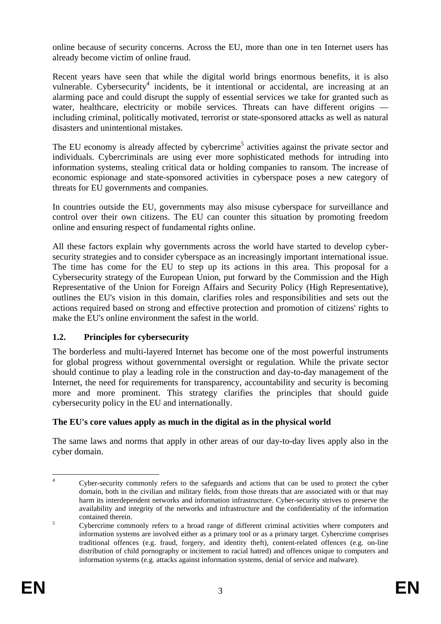online because of security concerns. Across the EU, more than one in ten Internet users has already become victim of online fraud.

Recent years have seen that while the digital world brings enormous benefits, it is also vulnerable. Cybersecurity<sup>4</sup> incidents, be it intentional or accidental, are increasing at an alarming pace and could disrupt the supply of essential services we take for granted such as water, healthcare, electricity or mobile services. Threats can have different origins including criminal, politically motivated, terrorist or state-sponsored attacks as well as natural disasters and unintentional mistakes.

The EU economy is already affected by cybercrime<sup>5</sup> activities against the private sector and individuals. Cybercriminals are using ever more sophisticated methods for intruding into information systems, stealing critical data or holding companies to ransom. The increase of economic espionage and state-sponsored activities in cyberspace poses a new category of threats for EU governments and companies.

In countries outside the EU, governments may also misuse cyberspace for surveillance and control over their own citizens. The EU can counter this situation by promoting freedom online and ensuring respect of fundamental rights online.

All these factors explain why governments across the world have started to develop cybersecurity strategies and to consider cyberspace as an increasingly important international issue. The time has come for the EU to step up its actions in this area. This proposal for a Cybersecurity strategy of the European Union, put forward by the Commission and the High Representative of the Union for Foreign Affairs and Security Policy (High Representative), outlines the EU's vision in this domain, clarifies roles and responsibilities and sets out the actions required based on strong and effective protection and promotion of citizens' rights to make the EU's online environment the safest in the world.

# **1.2. Principles for cybersecurity**

The borderless and multi-layered Internet has become one of the most powerful instruments for global progress without governmental oversight or regulation. While the private sector should continue to play a leading role in the construction and day-to-day management of the Internet, the need for requirements for transparency, accountability and security is becoming more and more prominent. This strategy clarifies the principles that should guide cybersecurity policy in the EU and internationally.

# **The EU's core values apply as much in the digital as in the physical world**

The same laws and norms that apply in other areas of our day-to-day lives apply also in the cyber domain.

 $\frac{1}{4}$  Cyber-security commonly refers to the safeguards and actions that can be used to protect the cyber domain, both in the civilian and military fields, from those threats that are associated with or that may harm its interdependent networks and information infrastructure. Cyber-security strives to preserve the availability and integrity of the networks and infrastructure and the confidentiality of the information contained therein.

Cybercrime commonly refers to a broad range of different criminal activities where computers and information systems are involved either as a primary tool or as a primary target. Cybercrime comprises traditional offences (e.g. fraud, forgery, and identity theft), content-related offences (e.g. on-line distribution of child pornography or incitement to racial hatred) and offences unique to computers and information systems (e.g. attacks against information systems, denial of service and malware).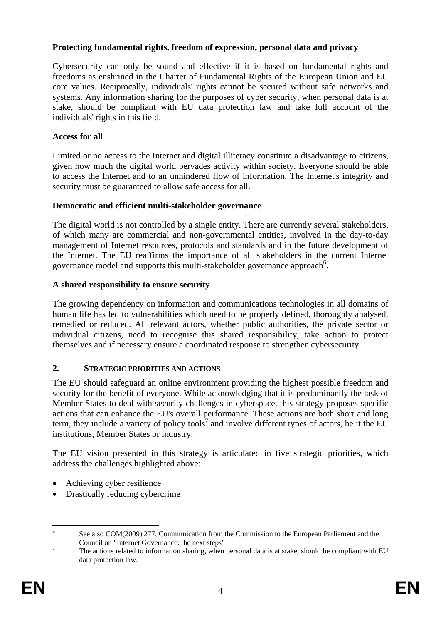### **Protecting fundamental rights, freedom of expression, personal data and privacy**

Cybersecurity can only be sound and effective if it is based on fundamental rights and freedoms as enshrined in the Charter of Fundamental Rights of the European Union and EU core values. Reciprocally, individuals' rights cannot be secured without safe networks and systems. Any information sharing for the purposes of cyber security, when personal data is at stake, should be compliant with EU data protection law and take full account of the individuals' rights in this field.

### **Access for all**

Limited or no access to the Internet and digital illiteracy constitute a disadvantage to citizens, given how much the digital world pervades activity within society. Everyone should be able to access the Internet and to an unhindered flow of information. The Internet's integrity and security must be guaranteed to allow safe access for all.

### **Democratic and efficient multi-stakeholder governance**

The digital world is not controlled by a single entity. There are currently several stakeholders, of which many are commercial and non-governmental entities, involved in the day-to-day management of Internet resources, protocols and standards and in the future development of the Internet. The EU reaffirms the importance of all stakeholders in the current Internet governance model and supports this multi-stakeholder governance approach<sup>6</sup>.

#### **A shared responsibility to ensure security**

The growing dependency on information and communications technologies in all domains of human life has led to vulnerabilities which need to be properly defined, thoroughly analysed, remedied or reduced. All relevant actors, whether public authorities, the private sector or individual citizens, need to recognise this shared responsibility, take action to protect themselves and if necessary ensure a coordinated response to strengthen cybersecurity.

#### **2. STRATEGIC PRIORITIES AND ACTIONS**

The EU should safeguard an online environment providing the highest possible freedom and security for the benefit of everyone. While acknowledging that it is predominantly the task of Member States to deal with security challenges in cyberspace, this strategy proposes specific actions that can enhance the EU's overall performance. These actions are both short and long term, they include a variety of policy tools<sup>7</sup> and involve different types of actors, be it the EU institutions, Member States or industry.

The EU vision presented in this strategy is articulated in five strategic priorities, which address the challenges highlighted above:

- Achieving cyber resilience
- Drastically reducing cybercrime

 $\frac{1}{6}$  See also COM(2009) 277, Communication from the Commission to the European Parliament and the Council on "Internet Governance: the next steps" 7

The actions related to information sharing, when personal data is at stake, should be compliant with EU data protection law.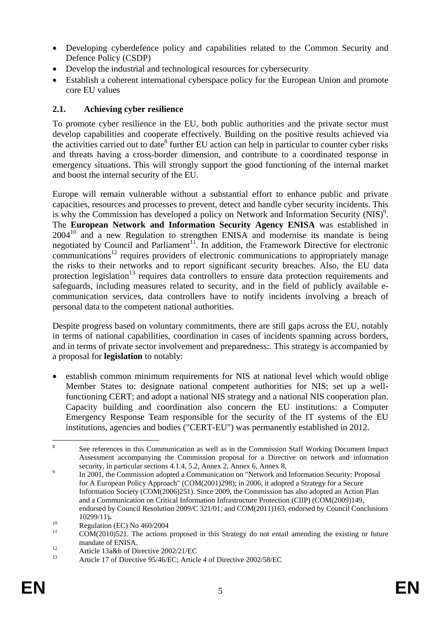- Developing cyberdefence policy and capabilities related to the Common Security and Defence Policy (CSDP)
- Develop the industrial and technological resources for cybersecurity
- Establish a coherent international cyberspace policy for the European Union and promote core EU values

## **2.1. Achieving cyber resilience**

To promote cyber resilience in the EU, both public authorities and the private sector must develop capabilities and cooperate effectively. Building on the positive results achieved via the activities carried out to date<sup>8</sup> further EU action can help in particular to counter cyber risks and threats having a cross-border dimension, and contribute to a coordinated response in emergency situations. This will strongly support the good functioning of the internal market and boost the internal security of the EU.

Europe will remain vulnerable without a substantial effort to enhance public and private capacities, resources and processes to prevent, detect and handle cyber security incidents. This is why the Commission has developed a policy on Network and Information Security (NIS)<sup>9</sup>. The **European Network and Information Security Agency ENISA** was established in  $2004<sup>10</sup>$  and a new Regulation to strengthen ENISA and modernise its mandate is being negotiated by Council and Parliament<sup>11</sup>. In addition, the Framework Directive for electronic communications<sup>12</sup> requires providers of electronic communications to appropriately manage the risks to their networks and to report significant security breaches. Also, the EU data protection legislation<sup>13</sup> requires data controllers to ensure data protection requirements and safeguards, including measures related to security, and in the field of publicly available ecommunication services, data controllers have to notify incidents involving a breach of personal data to the competent national authorities.

Despite progress based on voluntary commitments, there are still gaps across the EU, notably in terms of national capabilities, coordination in cases of incidents spanning across borders, and in terms of private sector involvement and preparedness:. This strategy is accompanied by a proposal for **legislation** to notably:

• establish common minimum requirements for NIS at national level which would oblige Member States to: designate national competent authorities for NIS; set up a wellfunctioning CERT; and adopt a national NIS strategy and a national NIS cooperation plan. Capacity building and coordination also concern the EU institutions: a Computer Emergency Response Team responsible for the security of the IT systems of the EU institutions, agencies and bodies ("CERT-EU") was permanently established in 2012.

 $\frac{1}{8}$  See references in this Communication as well as in the Commission Staff Working Document Impact Assessment accompanying the Commission proposal for a Directive on network and information security, in particular sections  $4.1.4$ ,  $5.2$ , Annex 2, Annex 6, Annex 8, 9

In 2001, the Commission adopted a Communication on "Network and Information Security: Proposal for A European Policy Approach" (COM(2001)298); in 2006, it adopted a Strategy for a Secure Information Society (COM(2006)251). Since 2009, the Commission has also adopted an Action Plan and a Communication on Critical Information Infrastructure Protection (CIIP) (COM(2009)149, endorsed by Council Resolution 2009/C 321/01; and COM(2011)163, endorsed by Council Conclusions

<sup>10299/11)</sup>**.**<br><sup>10</sup> Regulation (EC) No 460/2004<br><sup>11</sup> COM(2010)521. The estimate

 $COM(2010)521$ . The actions proposed in this Strategy do not entail amending the existing or future

mandate of ENISA.<br>
<sup>12</sup> Article 13a&b of Directive 2002/21/EC<br>
<sup>13</sup> Article 17 of Directive 05/46/EC. Articl

<sup>13</sup> Article 17 of Directive 95/46/EC; Article 4 of Directive 2002/58/EC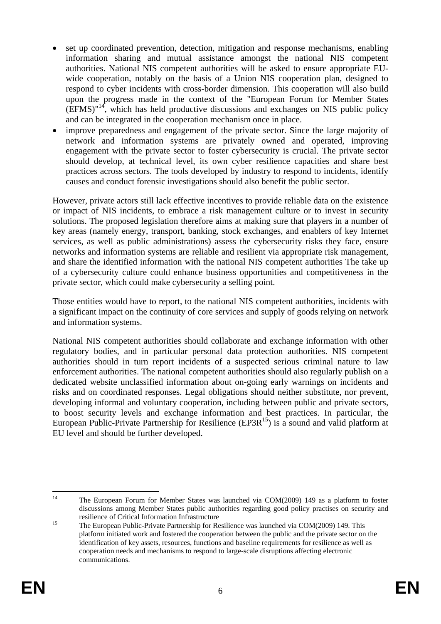- set up coordinated prevention, detection, mitigation and response mechanisms, enabling information sharing and mutual assistance amongst the national NIS competent authorities. National NIS competent authorities will be asked to ensure appropriate EUwide cooperation, notably on the basis of a Union NIS cooperation plan, designed to respond to cyber incidents with cross-border dimension. This cooperation will also build upon the progress made in the context of the "European Forum for Member States  $(EFMS)<sup>14</sup>$ , which has held productive discussions and exchanges on NIS public policy and can be integrated in the cooperation mechanism once in place.
- improve preparedness and engagement of the private sector. Since the large majority of network and information systems are privately owned and operated, improving engagement with the private sector to foster cybersecurity is crucial. The private sector should develop, at technical level, its own cyber resilience capacities and share best practices across sectors. The tools developed by industry to respond to incidents, identify causes and conduct forensic investigations should also benefit the public sector.

However, private actors still lack effective incentives to provide reliable data on the existence or impact of NIS incidents, to embrace a risk management culture or to invest in security solutions. The proposed legislation therefore aims at making sure that players in a number of key areas (namely energy, transport, banking, stock exchanges, and enablers of key Internet services, as well as public administrations) assess the cybersecurity risks they face, ensure networks and information systems are reliable and resilient via appropriate risk management, and share the identified information with the national NIS competent authorities The take up of a cybersecurity culture could enhance business opportunities and competitiveness in the private sector, which could make cybersecurity a selling point.

Those entities would have to report, to the national NIS competent authorities, incidents with a significant impact on the continuity of core services and supply of goods relying on network and information systems.

National NIS competent authorities should collaborate and exchange information with other regulatory bodies, and in particular personal data protection authorities. NIS competent authorities should in turn report incidents of a suspected serious criminal nature to law enforcement authorities. The national competent authorities should also regularly publish on a dedicated website unclassified information about on-going early warnings on incidents and risks and on coordinated responses. Legal obligations should neither substitute, nor prevent, developing informal and voluntary cooperation, including between public and private sectors, to boost security levels and exchange information and best practices. In particular, the European Public-Private Partnership for Resilience (EP3R $^{15}$ ) is a sound and valid platform at EU level and should be further developed.

 $14$ 14 The European Forum for Member States was launched via COM(2009) 149 as a platform to foster discussions among Member States public authorities regarding good policy practises on security and

resilience of Critical Information Infrastructure<br>
The European Public-Private Partnership for Resilience was launched via COM(2009) 149. This platform initiated work and fostered the cooperation between the public and the private sector on the identification of key assets, resources, functions and baseline requirements for resilience as well as cooperation needs and mechanisms to respond to large-scale disruptions affecting electronic communications.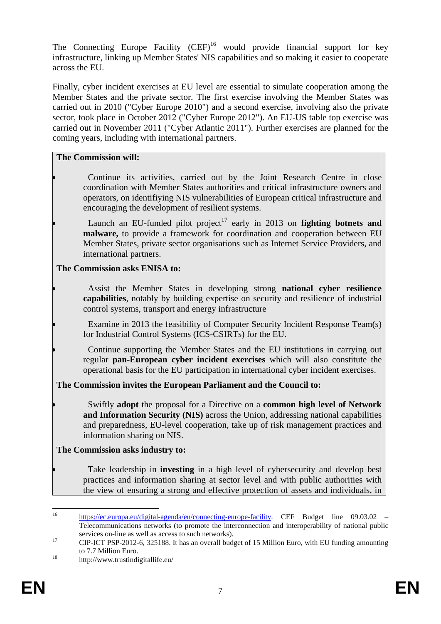The Connecting Europe Facility  $(CEF)^{16}$  would provide financial support for key infrastructure, linking up Member States' NIS capabilities and so making it easier to cooperate across the EU.

Finally, cyber incident exercises at EU level are essential to simulate cooperation among the Member States and the private sector. The first exercise involving the Member States was carried out in 2010 ("Cyber Europe 2010") and a second exercise, involving also the private sector, took place in October 2012 ("Cyber Europe 2012"). An EU-US table top exercise was carried out in November 2011 ("Cyber Atlantic 2011"). Further exercises are planned for the coming years, including with international partners.

## **The Commission will:**

- Continue its activities, carried out by the Joint Research Centre in close coordination with Member States authorities and critical infrastructure owners and operators, on identifiying NIS vulnerabilities of European critical infrastructure and encouraging the development of resilient systems.
- Launch an EU-funded pilot project<sup>17</sup> early in 2013 on **fighting botnets and malware,** to provide a framework for coordination and cooperation between EU Member States, private sector organisations such as Internet Service Providers, and international partners.

# **The Commission asks ENISA to:**

• Assist the Member States in developing strong **national cyber resilience capabilities**, notably by building expertise on security and resilience of industrial control systems, transport and energy infrastructure

Examine in 2013 the feasibility of Computer Security Incident Response Team(s) for Industrial Control Systems (ICS-CSIRTs) for the EU.

• Continue supporting the Member States and the EU institutions in carrying out regular **pan-European cyber incident exercises** which will also constitute the operational basis for the EU participation in international cyber incident exercises.

# **The Commission invites the European Parliament and the Council to:**

• Swiftly **adopt** the proposal for a Directive on a **common high level of Network and Information Security (NIS)** across the Union, addressing national capabilities and preparedness, EU-level cooperation, take up of risk management practices and information sharing on NIS.

## **The Commission asks industry to:**

• Take leadership in **investing** in a high level of cybersecurity and develop best practices and information sharing at sector level and with public authorities with the view of ensuring a strong and effective protection of assets and individuals, in

<sup>16</sup> [https://ec.europa.eu/digital-agenda/en/connec](https://ec.europa.eu/digital-agenda/en/connecting-europe-facility)ting-europe-facility. CEF Budget line 09.03.02 – Telecommunications networks (to promote the interconnection and interoperability of national public services on-line as well as access to such networks).<br><sup>17</sup> CIP-ICT PSP-2012-6, 325188. It has an overall budget of 15 Million Euro, with EU funding amounting

to 7.7 Million Euro.<br><sup>18</sup> http://www.trustindigitallife.eu/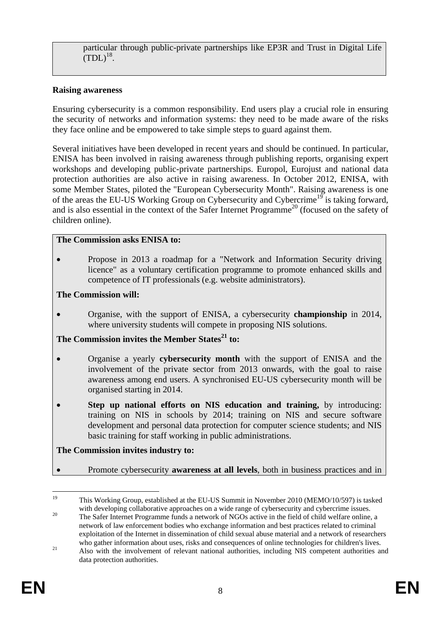particular through public-private partnerships like EP3R and Trust in Digital Life  $(TDL)^{18}$ .

#### **Raising awareness**

Ensuring cybersecurity is a common responsibility. End users play a crucial role in ensuring the security of networks and information systems: they need to be made aware of the risks they face online and be empowered to take simple steps to guard against them.

Several initiatives have been developed in recent years and should be continued. In particular, ENISA has been involved in raising awareness through publishing reports, organising expert workshops and developing public-private partnerships. Europol, Eurojust and national data protection authorities are also active in raising awareness. In October 2012, ENISA, with some Member States, piloted the "European Cybersecurity Month". Raising awareness is one of the areas the EU-US Working Group on Cybersecurity and Cybercrime<sup>19</sup> is taking forward, and is also essential in the context of the Safer Internet Programme<sup>20</sup> (focused on the safety of children online).

### **The Commission asks ENISA to:**

• Propose in 2013 a roadmap for a "Network and Information Security driving licence" as a voluntary certification programme to promote enhanced skills and competence of IT professionals (e.g. website administrators).

### **The Commission will:**

• Organise, with the support of ENISA, a cybersecurity **championship** in 2014, where university students will compete in proposing NIS solutions.

# The Commission invites the Member States<sup>21</sup> to:

- Organise a yearly **cybersecurity month** with the support of ENISA and the involvement of the private sector from 2013 onwards, with the goal to raise awareness among end users. A synchronised EU-US cybersecurity month will be organised starting in 2014.
- **Step up national efforts on NIS education and training,** by introducing: training on NIS in schools by 2014; training on NIS and secure software development and personal data protection for computer science students; and NIS basic training for staff working in public administrations.

## **The Commission invites industry to:**

• Promote cybersecurity **awareness at all levels**, both in business practices and in

<sup>19</sup> 19 This Working Group, established at the EU-US Summit in November 2010 (MEMO/10/597) is tasked

with developing collaborative approaches on a wide range of cybersecurity and cybercrime issues.<br><sup>20</sup> The Safer Internet Programme funds a network of NGOs active in the field of child welfare online, a network of law enforcement bodies who exchange information and best practices related to criminal exploitation of the Internet in dissemination of child sexual abuse material and a network of researchers who gather information about uses, risks and consequences of online technologies for children's lives.<br><sup>21</sup> Also with the involvement of relevant national authorities, including NIS competent authorities and

data protection authorities.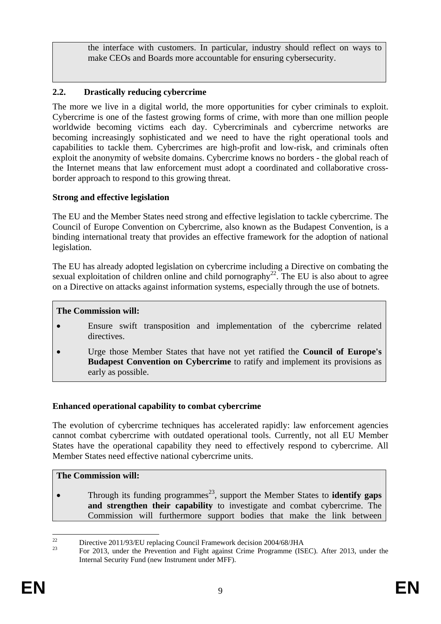the interface with customers. In particular, industry should reflect on ways to make CEOs and Boards more accountable for ensuring cybersecurity.

# **2.2. Drastically reducing cybercrime**

The more we live in a digital world, the more opportunities for cyber criminals to exploit. Cybercrime is one of the fastest growing forms of crime, with more than one million people worldwide becoming victims each day. Cybercriminals and cybercrime networks are becoming increasingly sophisticated and we need to have the right operational tools and capabilities to tackle them. Cybercrimes are high-profit and low-risk, and criminals often exploit the anonymity of website domains. Cybercrime knows no borders - the global reach of the Internet means that law enforcement must adopt a coordinated and collaborative crossborder approach to respond to this growing threat.

# **Strong and effective legislation**

The EU and the Member States need strong and effective legislation to tackle cybercrime. The Council of Europe Convention on Cybercrime, also known as the Budapest Convention, is a binding international treaty that provides an effective framework for the adoption of national legislation.

The EU has already adopted legislation on cybercrime including a Directive on combating the sexual exploitation of children online and child pornography<sup>22</sup>. The EU is also about to agree on a Directive on attacks against information systems, especially through the use of botnets.

### **The Commission will:**

- Ensure swift transposition and implementation of the cybercrime related directives.
- Urge those Member States that have not yet ratified the **Council of Europe's Budapest Convention on Cybercrime** to ratify and implement its provisions as early as possible.

## **Enhanced operational capability to combat cybercrime**

The evolution of cybercrime techniques has accelerated rapidly: law enforcement agencies cannot combat cybercrime with outdated operational tools. Currently, not all EU Member States have the operational capability they need to effectively respond to cybercrime. All Member States need effective national cybercrime units.

## **The Commission will:**

• Through its funding programmes<sup>23</sup>, support the Member States to **identify gaps and strengthen their capability** to investigate and combat cybercrime. The Commission will furthermore support bodies that make the link between

 $\mathfrak{D}$  $\frac{22}{23}$  Directive 2011/93/EU replacing Council Framework decision 2004/68/JHA

<sup>23</sup> For 2013, under the Prevention and Fight against Crime Programme (ISEC). After 2013, under the Internal Security Fund (new Instrument under MFF).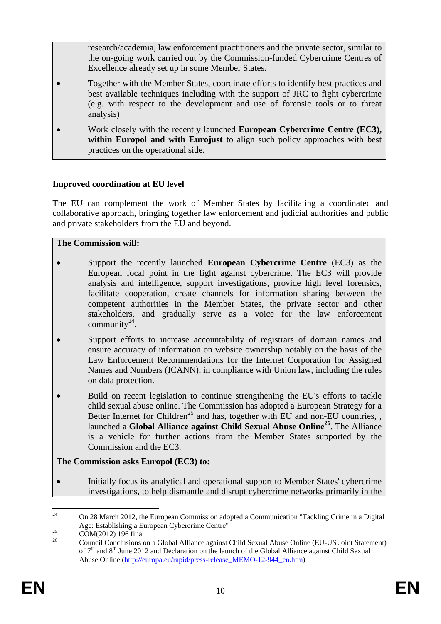research/academia, law enforcement practitioners and the private sector, similar to the on-going work carried out by the Commission-funded Cybercrime Centres of Excellence already set up in some Member States.

- Together with the Member States, coordinate efforts to identify best practices and best available techniques including with the support of JRC to fight cybercrime (e.g. with respect to the development and use of forensic tools or to threat analysis)
- Work closely with the recently launched **European Cybercrime Centre (EC3), within Europol and with Eurojust** to align such policy approaches with best practices on the operational side.

## **Improved coordination at EU level**

The EU can complement the work of Member States by facilitating a coordinated and collaborative approach, bringing together law enforcement and judicial authorities and public and private stakeholders from the EU and beyond.

### **The Commission will:**

- Support the recently launched **European Cybercrime Centre** (EC3) as the European focal point in the fight against cybercrime. The EC3 will provide analysis and intelligence, support investigations, provide high level forensics, facilitate cooperation, create channels for information sharing between the competent authorities in the Member States, the private sector and other stakeholders, and gradually serve as a voice for the law enforcement community $^{24}$ .
- Support efforts to increase accountability of registrars of domain names and ensure accuracy of information on website ownership notably on the basis of the Law Enforcement Recommendations for the Internet Corporation for Assigned Names and Numbers (ICANN), in compliance with Union law, including the rules on data protection.
- Build on recent legislation to continue strengthening the EU's efforts to tackle child sexual abuse online. The Commission has adopted a European Strategy for a Better Internet for Children<sup>25</sup> and has, together with EU and non-EU countries, , launched a **Global Alliance against Child Sexual Abuse Online<sup>26</sup>.** The Alliance is a vehicle for further actions from the Member States supported by the Commission and the EC3.

## **The Commission asks Europol (EC3) to:**

• Initially focus its analytical and operational support to Member States' cybercrime investigations, to help dismantle and disrupt cybercrime networks primarily in the

 $24$ 24 On 28 March 2012, the European Commission adopted a Communication "Tackling Crime in a Digital Age: Establishing a European Cybercrime Centre"<br>
COM(2012) 196 final<br>
<sup>26</sup> Council Conclusions on a Clabel Alliance against

<sup>26</sup> Council Conclusions on a Global Alliance against Child Sexual Abuse Online (EU-US Joint Statement) of  $7<sup>th</sup>$  and  $8<sup>th</sup>$  June 2012 and Declaration on the launch of the Global Alliance against Child Sexual [Abuse Online \(http://europa.eu/rapid/press-release\\_MEMO-12-944\\_en.htm\)](http://europa.eu/rapid/press-release_MEMO-12-944_en.htm)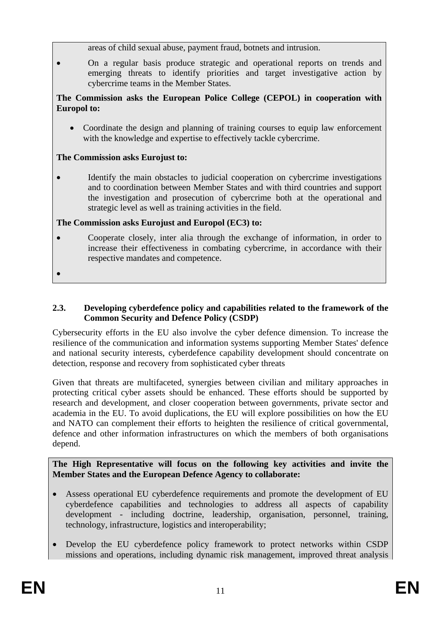areas of child sexual abuse, payment fraud, botnets and intrusion.

• On a regular basis produce strategic and operational reports on trends and emerging threats to identify priorities and target investigative action by cybercrime teams in the Member States.

# **The Commission asks the European Police College (CEPOL) in cooperation with Europol to:**

• Coordinate the design and planning of training courses to equip law enforcement with the knowledge and expertise to effectively tackle cybercrime.

# **The Commission asks Eurojust to:**

Identify the main obstacles to judicial cooperation on cybercrime investigations and to coordination between Member States and with third countries and support the investigation and prosecution of cybercrime both at the operational and strategic level as well as training activities in the field.

# **The Commission asks Eurojust and Europol (EC3) to:**

• Cooperate closely, inter alia through the exchange of information, in order to increase their effectiveness in combating cybercrime, in accordance with their respective mandates and competence.

•

# **2.3. Developing cyberdefence policy and capabilities related to the framework of the Common Security and Defence Policy (CSDP)**

Cybersecurity efforts in the EU also involve the cyber defence dimension. To increase the resilience of the communication and information systems supporting Member States' defence and national security interests, cyberdefence capability development should concentrate on detection, response and recovery from sophisticated cyber threats

Given that threats are multifaceted, synergies between civilian and military approaches in protecting critical cyber assets should be enhanced. These efforts should be supported by research and development, and closer cooperation between governments, private sector and academia in the EU. To avoid duplications, the EU will explore possibilities on how the EU and NATO can complement their efforts to heighten the resilience of critical governmental, defence and other information infrastructures on which the members of both organisations depend.

# **The High Representative will focus on the following key activities and invite the Member States and the European Defence Agency to collaborate:**

- Assess operational EU cyberdefence requirements and promote the development of EU cyberdefence capabilities and technologies to address all aspects of capability development - including doctrine, leadership, organisation, personnel, training, technology, infrastructure, logistics and interoperability;
- Develop the EU cyberdefence policy framework to protect networks within CSDP missions and operations, including dynamic risk management, improved threat analysis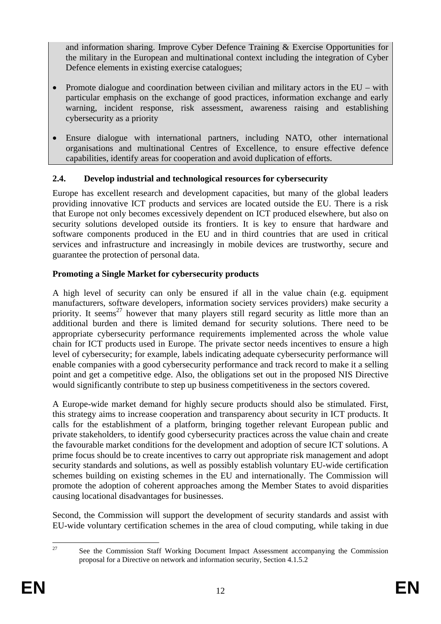and information sharing. Improve Cyber Defence Training & Exercise Opportunities for the military in the European and multinational context including the integration of Cyber Defence elements in existing exercise catalogues;

- Promote dialogue and coordination between civilian and military actors in the EU with particular emphasis on the exchange of good practices, information exchange and early warning, incident response, risk assessment, awareness raising and establishing cybersecurity as a priority
- Ensure dialogue with international partners, including NATO, other international organisations and multinational Centres of Excellence, to ensure effective defence capabilities, identify areas for cooperation and avoid duplication of efforts.

# **2.4. Develop industrial and technological resources for cybersecurity**

Europe has excellent research and development capacities, but many of the global leaders providing innovative ICT products and services are located outside the EU. There is a risk that Europe not only becomes excessively dependent on ICT produced elsewhere, but also on security solutions developed outside its frontiers. It is key to ensure that hardware and software components produced in the EU and in third countries that are used in critical services and infrastructure and increasingly in mobile devices are trustworthy, secure and guarantee the protection of personal data.

# **Promoting a Single Market for cybersecurity products**

A high level of security can only be ensured if all in the value chain (e.g. equipment manufacturers, software developers, information society services providers) make security a priority. It seems<sup>27</sup> however that many players still regard security as little more than an additional burden and there is limited demand for security solutions. There need to be appropriate cybersecurity performance requirements implemented across the whole value chain for ICT products used in Europe. The private sector needs incentives to ensure a high level of cybersecurity; for example, labels indicating adequate cybersecurity performance will enable companies with a good cybersecurity performance and track record to make it a selling point and get a competitive edge. Also, the obligations set out in the proposed NIS Directive would significantly contribute to step up business competitiveness in the sectors covered.

A Europe-wide market demand for highly secure products should also be stimulated. First, this strategy aims to increase cooperation and transparency about security in ICT products. It calls for the establishment of a platform, bringing together relevant European public and private stakeholders, to identify good cybersecurity practices across the value chain and create the favourable market conditions for the development and adoption of secure ICT solutions. A prime focus should be to create incentives to carry out appropriate risk management and adopt security standards and solutions, as well as possibly establish voluntary EU-wide certification schemes building on existing schemes in the EU and internationally. The Commission will promote the adoption of coherent approaches among the Member States to avoid disparities causing locational disadvantages for businesses.

Second, the Commission will support the development of security standards and assist with EU-wide voluntary certification schemes in the area of cloud computing, while taking in due

 $27$ 27 See the Commission Staff Working Document Impact Assessment accompanying the Commission proposal for a Directive on network and information security, Section 4.1.5.2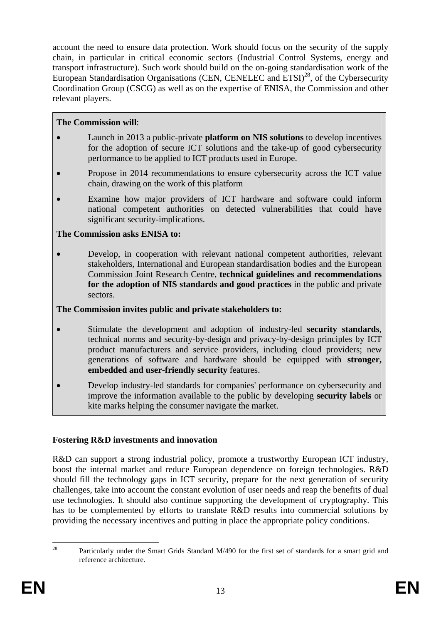account the need to ensure data protection. Work should focus on the security of the supply chain, in particular in critical economic sectors (Industrial Control Systems, energy and transport infrastructure). Such work should build on the on-going standardisation work of the European Standardisation Organisations (CEN, CENELEC and ETSI)<sup>28</sup>, of the Cybersecurity Coordination Group (CSCG) as well as on the expertise of ENISA, the Commission and other relevant players.

# **The Commission will**:

- Launch in 2013 a public-private **platform on NIS solutions** to develop incentives for the adoption of secure ICT solutions and the take-up of good cybersecurity performance to be applied to ICT products used in Europe.
- Propose in 2014 recommendations to ensure cybersecurity across the ICT value chain, drawing on the work of this platform
- Examine how major providers of ICT hardware and software could inform national competent authorities on detected vulnerabilities that could have significant security-implications.

# **The Commission asks ENISA to:**

• Develop, in cooperation with relevant national competent authorities, relevant stakeholders, International and European standardisation bodies and the European Commission Joint Research Centre, **technical guidelines and recommendations for the adoption of NIS standards and good practices** in the public and private sectors.

# **The Commission invites public and private stakeholders to:**

- Stimulate the development and adoption of industry-led **security standards**, technical norms and security-by-design and privacy-by-design principles by ICT product manufacturers and service providers, including cloud providers; new generations of software and hardware should be equipped with **stronger, embedded and user-friendly security** features.
- Develop industry-led standards for companies' performance on cybersecurity and improve the information available to the public by developing **security labels** or kite marks helping the consumer navigate the market.

# **Fostering R&D investments and innovation**

R&D can support a strong industrial policy, promote a trustworthy European ICT industry, boost the internal market and reduce European dependence on foreign technologies. R&D should fill the technology gaps in ICT security, prepare for the next generation of security challenges, take into account the constant evolution of user needs and reap the benefits of dual use technologies. It should also continue supporting the development of cryptography. This has to be complemented by efforts to translate R&D results into commercial solutions by providing the necessary incentives and putting in place the appropriate policy conditions.

 $28$ Particularly under the Smart Grids Standard M/490 for the first set of standards for a smart grid and reference architecture.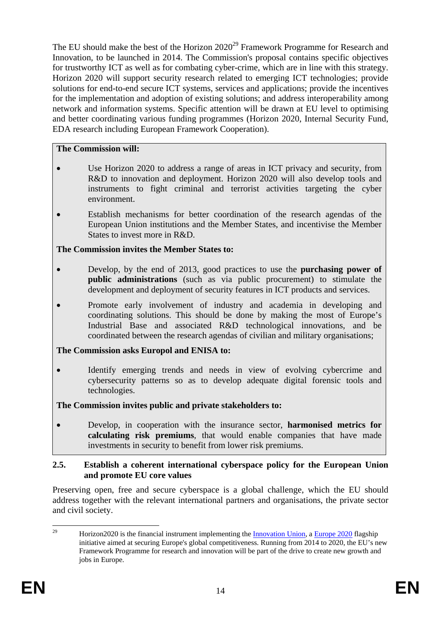The EU should make the best of the Horizon  $2020^{29}$  Framework Programme for Research and Innovation, to be launched in 2014. The Commission's proposal contains specific objectives for trustworthy ICT as well as for combating cyber-crime, which are in line with this strategy. Horizon 2020 will support security research related to emerging ICT technologies; provide solutions for end-to-end secure ICT systems, services and applications; provide the incentives for the implementation and adoption of existing solutions; and address interoperability among network and information systems. Specific attention will be drawn at EU level to optimising and better coordinating various funding programmes (Horizon 2020, Internal Security Fund, EDA research including European Framework Cooperation).

### **The Commission will:**

- Use Horizon 2020 to address a range of areas in ICT privacy and security, from R&D to innovation and deployment. Horizon 2020 will also develop tools and instruments to fight criminal and terrorist activities targeting the cyber environment.
- Establish mechanisms for better coordination of the research agendas of the European Union institutions and the Member States, and incentivise the Member States to invest more in R&D.

### **The Commission invites the Member States to:**

- Develop, by the end of 2013, good practices to use the **purchasing power of public administrations** (such as via public procurement) to stimulate the development and deployment of security features in ICT products and services.
- Promote early involvement of industry and academia in developing and coordinating solutions. This should be done by making the most of Europe's Industrial Base and associated R&D technological innovations, and be coordinated between the research agendas of civilian and military organisations;

## **The Commission asks Europol and ENISA to:**

• Identify emerging trends and needs in view of evolving cybercrime and cybersecurity patterns so as to develop adequate digital forensic tools and technologies.

## **The Commission invites public and private stakeholders to:**

• Develop, in cooperation with the insurance sector, **harmonised metrics for calculating risk premiums**, that would enable companies that have made investments in security to benefit from lower risk premiums.

#### **2.5. Establish a coherent international cyberspace policy for the European Union and promote EU core values**

Preserving open, free and secure cyberspace is a global challenge, which the EU should address together with the relevant international partners and organisations, the private sector and civil society.

 $29$ 29 Horizon2020 is the financial instrument implementi[ng the](http://ec.europa.eu/research/innovation-union/index_en.cfm) Innovation Union, a [Europe 2020 f](http://ec.europa.eu/europe2020/index_en.htm)lagship initiative aimed at securing Europe's global competitiveness. Running from 2014 to 2020, the EU's new Framework Programme for research and innovation will be part of the drive to create new growth and jobs in Europe.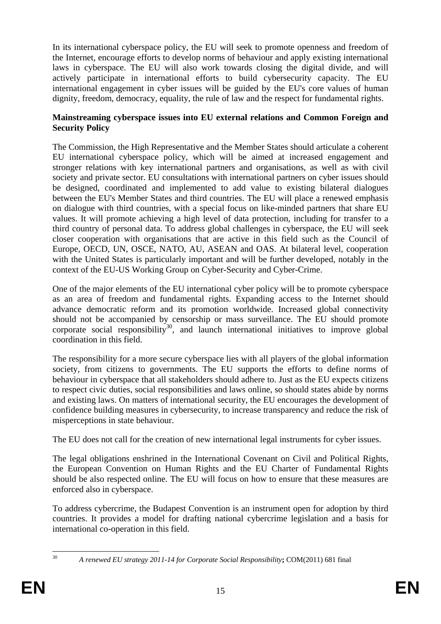In its international cyberspace policy, the EU will seek to promote openness and freedom of the Internet, encourage efforts to develop norms of behaviour and apply existing international laws in cyberspace. The EU will also work towards closing the digital divide, and will actively participate in international efforts to build cybersecurity capacity. The EU international engagement in cyber issues will be guided by the EU's core values of human dignity, freedom, democracy, equality, the rule of law and the respect for fundamental rights.

### **Mainstreaming cyberspace issues into EU external relations and Common Foreign and Security Policy**

The Commission, the High Representative and the Member States should articulate a coherent EU international cyberspace policy, which will be aimed at increased engagement and stronger relations with key international partners and organisations, as well as with civil society and private sector. EU consultations with international partners on cyber issues should be designed, coordinated and implemented to add value to existing bilateral dialogues between the EU's Member States and third countries. The EU will place a renewed emphasis on dialogue with third countries, with a special focus on like-minded partners that share EU values. It will promote achieving a high level of data protection, including for transfer to a third country of personal data. To address global challenges in cyberspace, the EU will seek closer cooperation with organisations that are active in this field such as the Council of Europe, OECD, UN, OSCE, NATO, AU, ASEAN and OAS. At bilateral level, cooperation with the United States is particularly important and will be further developed, notably in the context of the EU-US Working Group on Cyber-Security and Cyber-Crime.

One of the major elements of the EU international cyber policy will be to promote cyberspace as an area of freedom and fundamental rights. Expanding access to the Internet should advance democratic reform and its promotion worldwide. Increased global connectivity should not be accompanied by censorship or mass surveillance. The EU should promote corporate social responsibility<sup>30</sup>, and launch international initiatives to improve global coordination in this field.

The responsibility for a more secure cyberspace lies with all players of the global information society, from citizens to governments. The EU supports the efforts to define norms of behaviour in cyberspace that all stakeholders should adhere to. Just as the EU expects citizens to respect civic duties, social responsibilities and laws online, so should states abide by norms and existing laws. On matters of international security, the EU encourages the development of confidence building measures in cybersecurity, to increase transparency and reduce the risk of misperceptions in state behaviour.

The EU does not call for the creation of new international legal instruments for cyber issues.

The legal obligations enshrined in the International Covenant on Civil and Political Rights, the European Convention on Human Rights and the EU Charter of Fundamental Rights should be also respected online. The EU will focus on how to ensure that these measures are enforced also in cyberspace.

To address cybercrime, the Budapest Convention is an instrument open for adoption by third countries. It provides a model for drafting national cybercrime legislation and a basis for international co-operation in this field.

<sup>30</sup> 

<sup>30</sup> *A renewed EU strategy 2011-14 for Corporate Social Responsibility***;** COM(2011) 681 final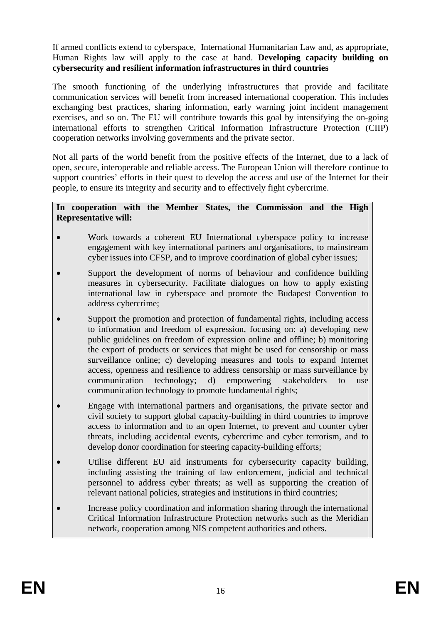If armed conflicts extend to cyberspace, International Humanitarian Law and, as appropriate, Human Rights law will apply to the case at hand. **Developing capacity building on cybersecurity and resilient information infrastructures in third countries** 

The smooth functioning of the underlying infrastructures that provide and facilitate communication services will benefit from increased international cooperation. This includes exchanging best practices, sharing information, early warning joint incident management exercises, and so on. The EU will contribute towards this goal by intensifying the on-going international efforts to strengthen Critical Information Infrastructure Protection (CIIP) cooperation networks involving governments and the private sector.

Not all parts of the world benefit from the positive effects of the Internet, due to a lack of open, secure, interoperable and reliable access. The European Union will therefore continue to support countries' efforts in their quest to develop the access and use of the Internet for their people, to ensure its integrity and security and to effectively fight cybercrime.

## **In cooperation with the Member States, the Commission and the High Representative will:**

- Work towards a coherent EU International cyberspace policy to increase engagement with key international partners and organisations, to mainstream cyber issues into CFSP, and to improve coordination of global cyber issues;
- Support the development of norms of behaviour and confidence building measures in cybersecurity. Facilitate dialogues on how to apply existing international law in cyberspace and promote the Budapest Convention to address cybercrime;
- Support the promotion and protection of fundamental rights, including access to information and freedom of expression, focusing on: a) developing new public guidelines on freedom of expression online and offline; b) monitoring the export of products or services that might be used for censorship or mass surveillance online; c) developing measures and tools to expand Internet access, openness and resilience to address censorship or mass surveillance by communication technology; d) empowering stakeholders to use communication technology to promote fundamental rights;
- Engage with international partners and organisations, the private sector and civil society to support global capacity-building in third countries to improve access to information and to an open Internet, to prevent and counter cyber threats, including accidental events, cybercrime and cyber terrorism, and to develop donor coordination for steering capacity-building efforts;
- Utilise different EU aid instruments for cybersecurity capacity building, including assisting the training of law enforcement, judicial and technical personnel to address cyber threats; as well as supporting the creation of relevant national policies, strategies and institutions in third countries;
- Increase policy coordination and information sharing through the international Critical Information Infrastructure Protection networks such as the Meridian network, cooperation among NIS competent authorities and others.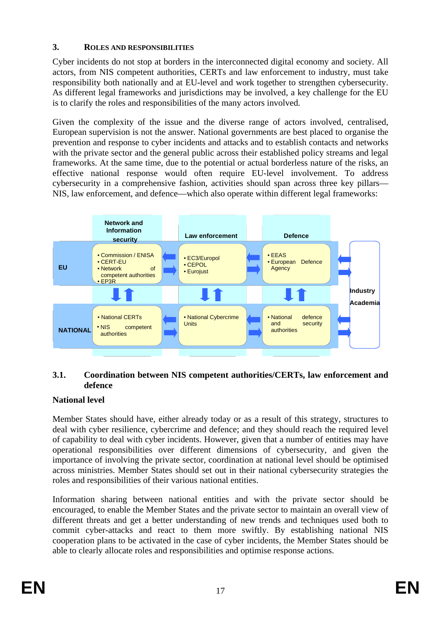## **3. ROLES AND RESPONSIBILITIES**

Cyber incidents do not stop at borders in the interconnected digital economy and society. All actors, from NIS competent authorities, CERTs and law enforcement to industry, must take responsibility both nationally and at EU-level and work together to strengthen cybersecurity. As different legal frameworks and jurisdictions may be involved, a key challenge for the EU is to clarify the roles and responsibilities of the many actors involved.

Given the complexity of the issue and the diverse range of actors involved, centralised, European supervision is not the answer. National governments are best placed to organise the prevention and response to cyber incidents and attacks and to establish contacts and networks with the private sector and the general public across their established policy streams and legal frameworks. At the same time, due to the potential or actual borderless nature of the risks, an effective national response would often require EU-level involvement. To address cybersecurity in a comprehensive fashion, activities should span across three key pillars— NIS, law enforcement, and defence—which also operate within different legal frameworks:



## **3.1. Coordination between NIS competent authorities/CERTs, law enforcement and defence**

# **National level**

Member States should have, either already today or as a result of this strategy, structures to deal with cyber resilience, cybercrime and defence; and they should reach the required level of capability to deal with cyber incidents. However, given that a number of entities may have operational responsibilities over different dimensions of cybersecurity, and given the importance of involving the private sector, coordination at national level should be optimised across ministries. Member States should set out in their national cybersecurity strategies the roles and responsibilities of their various national entities.

Information sharing between national entities and with the private sector should be encouraged, to enable the Member States and the private sector to maintain an overall view of different threats and get a better understanding of new trends and techniques used both to commit cyber-attacks and react to them more swiftly. By establishing national NIS cooperation plans to be activated in the case of cyber incidents, the Member States should be able to clearly allocate roles and responsibilities and optimise response actions.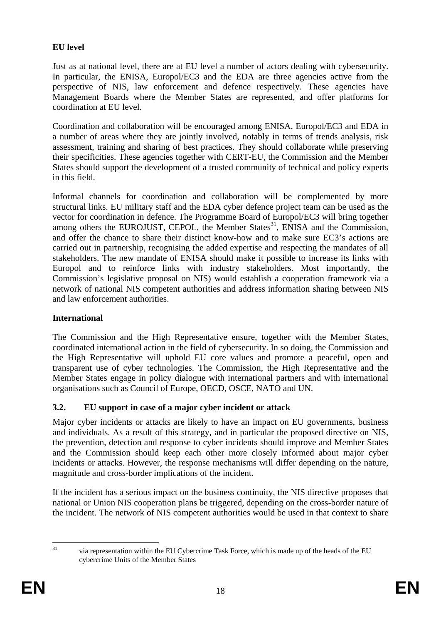# **EU level**

Just as at national level, there are at EU level a number of actors dealing with cybersecurity. In particular, the ENISA, Europol/EC3 and the EDA are three agencies active from the perspective of NIS, law enforcement and defence respectively. These agencies have Management Boards where the Member States are represented, and offer platforms for coordination at EU level.

Coordination and collaboration will be encouraged among ENISA, Europol/EC3 and EDA in a number of areas where they are jointly involved, notably in terms of trends analysis, risk assessment, training and sharing of best practices. They should collaborate while preserving their specificities. These agencies together with CERT-EU, the Commission and the Member States should support the development of a trusted community of technical and policy experts in this field.

Informal channels for coordination and collaboration will be complemented by more structural links. EU military staff and the EDA cyber defence project team can be used as the vector for coordination in defence. The Programme Board of Europol/EC3 will bring together among others the EUROJUST, CEPOL, the Member States $31$ , ENISA and the Commission, and offer the chance to share their distinct know-how and to make sure EC3's actions are carried out in partnership, recognising the added expertise and respecting the mandates of all stakeholders. The new mandate of ENISA should make it possible to increase its links with Europol and to reinforce links with industry stakeholders. Most importantly, the Commission's legislative proposal on NIS) would establish a cooperation framework via a network of national NIS competent authorities and address information sharing between NIS and law enforcement authorities.

## **International**

The Commission and the High Representative ensure, together with the Member States, coordinated international action in the field of cybersecurity. In so doing, the Commission and the High Representative will uphold EU core values and promote a peaceful, open and transparent use of cyber technologies. The Commission, the High Representative and the Member States engage in policy dialogue with international partners and with international organisations such as Council of Europe, OECD, OSCE, NATO and UN.

# **3.2. EU support in case of a major cyber incident or attack**

Major cyber incidents or attacks are likely to have an impact on EU governments, business and individuals. As a result of this strategy, and in particular the proposed directive on NIS, the prevention, detection and response to cyber incidents should improve and Member States and the Commission should keep each other more closely informed about major cyber incidents or attacks. However, the response mechanisms will differ depending on the nature, magnitude and cross-border implications of the incident.

If the incident has a serious impact on the business continuity, the NIS directive proposes that national or Union NIS cooperation plans be triggered, depending on the cross-border nature of the incident. The network of NIS competent authorities would be used in that context to share

 $\overline{31}$ 

<sup>31</sup> via representation within the EU Cybercrime Task Force, which is made up of the heads of the EU cybercrime Units of the Member States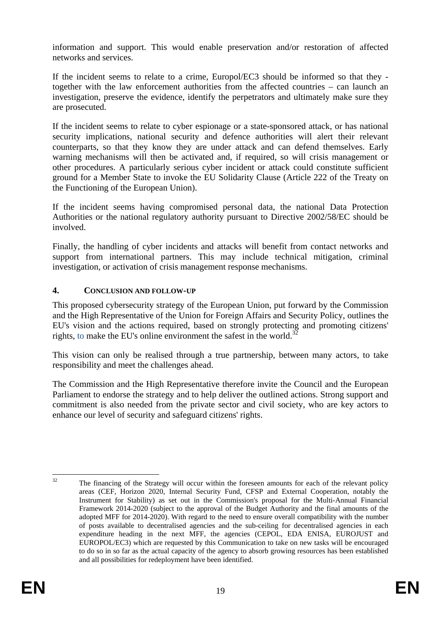information and support. This would enable preservation and/or restoration of affected networks and services.

If the incident seems to relate to a crime, Europol/EC3 should be informed so that they together with the law enforcement authorities from the affected countries – can launch an investigation, preserve the evidence, identify the perpetrators and ultimately make sure they are prosecuted.

If the incident seems to relate to cyber espionage or a state-sponsored attack, or has national security implications, national security and defence authorities will alert their relevant counterparts, so that they know they are under attack and can defend themselves. Early warning mechanisms will then be activated and, if required, so will crisis management or other procedures. A particularly serious cyber incident or attack could constitute sufficient ground for a Member State to invoke the EU Solidarity Clause (Article 222 of the Treaty on the Functioning of the European Union).

If the incident seems having compromised personal data, the national Data Protection Authorities or the national regulatory authority pursuant to Directive 2002/58/EC should be involved.

Finally, the handling of cyber incidents and attacks will benefit from contact networks and support from international partners. This may include technical mitigation, criminal investigation, or activation of crisis management response mechanisms.

## **4. CONCLUSION AND FOLLOW-UP**

This proposed cybersecurity strategy of the European Union, put forward by the Commission and the High Representative of the Union for Foreign Affairs and Security Policy, outlines the EU's vision and the actions required, based on strongly protecting and promoting citizens' rights, to make the EU's online environment the safest in the world. $32$ 

This vision can only be realised through a true partnership, between many actors, to take responsibility and meet the challenges ahead.

The Commission and the High Representative therefore invite the Council and the European Parliament to endorse the strategy and to help deliver the outlined actions. Strong support and commitment is also needed from the private sector and civil society, who are key actors to enhance our level of security and safeguard citizens' rights.

 $32$ The financing of the Strategy will occur within the foreseen amounts for each of the relevant policy areas (CEF, Horizon 2020, Internal Security Fund, CFSP and External Cooperation, notably the Instrument for Stability) as set out in the Commission's proposal for the Multi-Annual Financial Framework 2014-2020 (subject to the approval of the Budget Authority and the final amounts of the adopted MFF for 2014-2020). With regard to the need to ensure overall compatibility with the number of posts available to decentralised agencies and the sub-ceiling for decentralised agencies in each expenditure heading in the next MFF, the agencies (CEPOL, EDA ENISA, EUROJUST and EUROPOL/EC3) which are requested by this Communication to take on new tasks will be encouraged to do so in so far as the actual capacity of the agency to absorb growing resources has been established and all possibilities for redeployment have been identified.